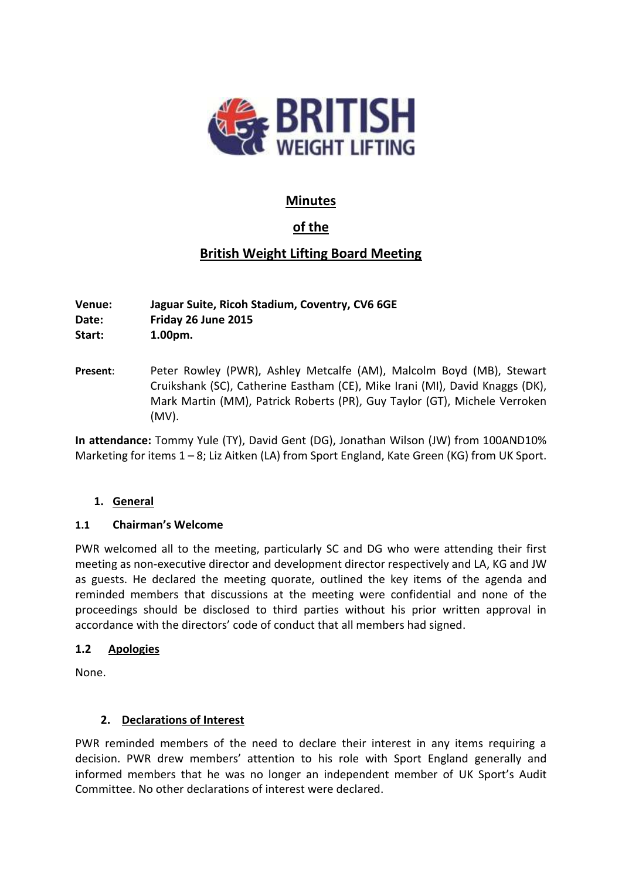

## **Minutes**

# **of the**

# **British Weight Lifting Board Meeting**

**Venue: Jaguar Suite, Ricoh Stadium, Coventry, CV6 6GE Date: Friday 26 June 2015 Start: 1.00pm.**

**Present**: Peter Rowley (PWR), Ashley Metcalfe (AM), Malcolm Boyd (MB), Stewart Cruikshank (SC), Catherine Eastham (CE), Mike Irani (MI), David Knaggs (DK), Mark Martin (MM), Patrick Roberts (PR), Guy Taylor (GT), Michele Verroken (MV).

**In attendance:** Tommy Yule (TY), David Gent (DG), Jonathan Wilson (JW) from 100AND10% Marketing for items 1 – 8; Liz Aitken (LA) from Sport England, Kate Green (KG) from UK Sport.

## **1. General**

### **1.1 Chairman's Welcome**

PWR welcomed all to the meeting, particularly SC and DG who were attending their first meeting as non-executive director and development director respectively and LA, KG and JW as guests. He declared the meeting quorate, outlined the key items of the agenda and reminded members that discussions at the meeting were confidential and none of the proceedings should be disclosed to third parties without his prior written approval in accordance with the directors' code of conduct that all members had signed.

### **1.2 Apologies**

None.

## **2. Declarations of Interest**

PWR reminded members of the need to declare their interest in any items requiring a decision. PWR drew members' attention to his role with Sport England generally and informed members that he was no longer an independent member of UK Sport's Audit Committee. No other declarations of interest were declared.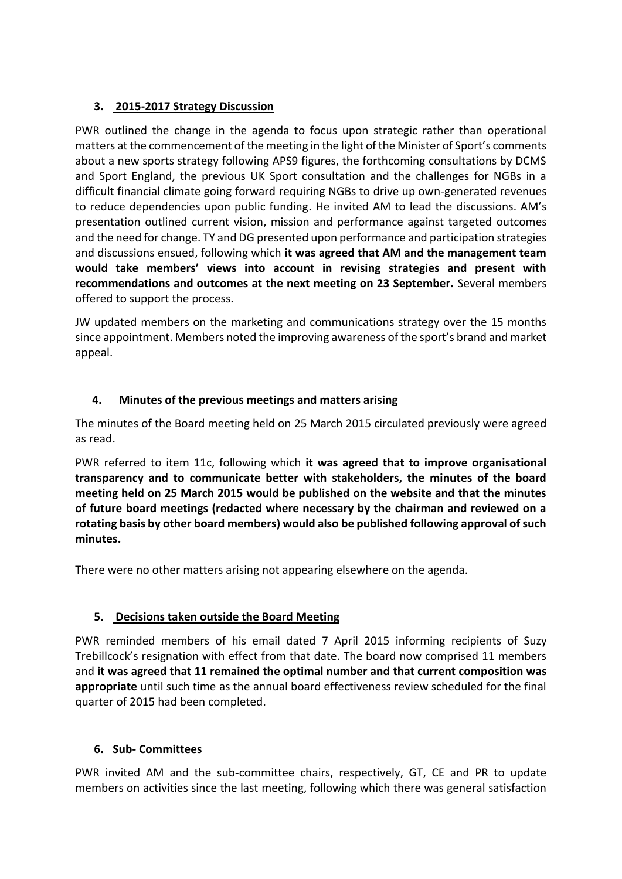## **3. 2015-2017 Strategy Discussion**

PWR outlined the change in the agenda to focus upon strategic rather than operational matters at the commencement of the meeting in the light of the Minister of Sport's comments about a new sports strategy following APS9 figures, the forthcoming consultations by DCMS and Sport England, the previous UK Sport consultation and the challenges for NGBs in a difficult financial climate going forward requiring NGBs to drive up own-generated revenues to reduce dependencies upon public funding. He invited AM to lead the discussions. AM's presentation outlined current vision, mission and performance against targeted outcomes and the need for change. TY and DG presented upon performance and participation strategies and discussions ensued, following which **it was agreed that AM and the management team would take members' views into account in revising strategies and present with recommendations and outcomes at the next meeting on 23 September.** Several members offered to support the process.

JW updated members on the marketing and communications strategy over the 15 months since appointment. Members noted the improving awareness of the sport's brand and market appeal.

## **4. Minutes of the previous meetings and matters arising**

The minutes of the Board meeting held on 25 March 2015 circulated previously were agreed as read.

PWR referred to item 11c, following which **it was agreed that to improve organisational transparency and to communicate better with stakeholders, the minutes of the board meeting held on 25 March 2015 would be published on the website and that the minutes of future board meetings (redacted where necessary by the chairman and reviewed on a rotating basis by other board members) would also be published following approval of such minutes.**

There were no other matters arising not appearing elsewhere on the agenda.

## **5. Decisions taken outside the Board Meeting**

PWR reminded members of his email dated 7 April 2015 informing recipients of Suzy Trebillcock's resignation with effect from that date. The board now comprised 11 members and **it was agreed that 11 remained the optimal number and that current composition was appropriate** until such time as the annual board effectiveness review scheduled for the final quarter of 2015 had been completed.

## **6. Sub- Committees**

PWR invited AM and the sub-committee chairs, respectively, GT, CE and PR to update members on activities since the last meeting, following which there was general satisfaction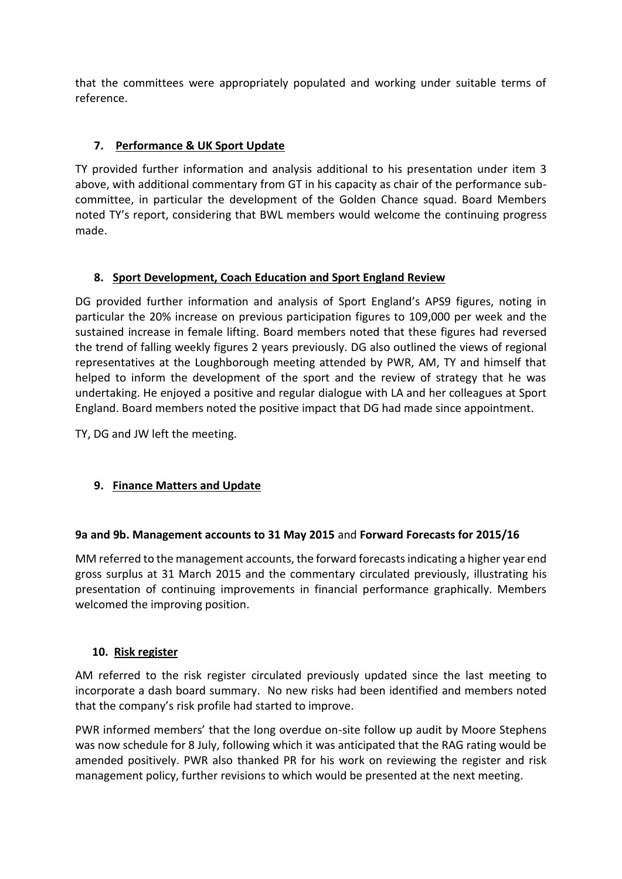that the committees were appropriately populated and working under suitable terms of reference.

## **7. Performance & UK Sport Update**

TY provided further information and analysis additional to his presentation under item 3 above, with additional commentary from GT in his capacity as chair of the performance subcommittee, in particular the development of the Golden Chance squad. Board Members noted TY's report, considering that BWL members would welcome the continuing progress made.

### **8. Sport Development, Coach Education and Sport England Review**

DG provided further information and analysis of Sport England's APS9 figures, noting in particular the 20% increase on previous participation figures to 109,000 per week and the sustained increase in female lifting. Board members noted that these figures had reversed the trend of falling weekly figures 2 years previously. DG also outlined the views of regional representatives at the Loughborough meeting attended by PWR, AM, TY and himself that helped to inform the development of the sport and the review of strategy that he was undertaking. He enjoyed a positive and regular dialogue with LA and her colleagues at Sport England. Board members noted the positive impact that DG had made since appointment.

TY, DG and JW left the meeting.

## **9. Finance Matters and Update**

### **9a and 9b. Management accounts to 31 May 2015** and **Forward Forecasts for 2015/16**

MM referred to the management accounts, the forward forecastsindicating a higher year end gross surplus at 31 March 2015 and the commentary circulated previously, illustrating his presentation of continuing improvements in financial performance graphically. Members welcomed the improving position.

### **10. Risk register**

AM referred to the risk register circulated previously updated since the last meeting to incorporate a dash board summary. No new risks had been identified and members noted that the company's risk profile had started to improve.

PWR informed members' that the long overdue on-site follow up audit by Moore Stephens was now schedule for 8 July, following which it was anticipated that the RAG rating would be amended positively. PWR also thanked PR for his work on reviewing the register and risk management policy, further revisions to which would be presented at the next meeting.